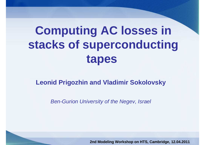# **Computing AC losses in stacks of superconducting tapes**

#### **Leonid Prigozhin and Vladimir Sokolovsky**

Ben-Gurion University of the Negev, Israel

**2nd Modeling Workshop on HTS, Cambridge, 12.04.2011**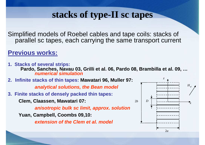# **stacks of type-II sc tapes**

Simplified models of Roebel cables and tape coils: stacks of parallel sc tapes, each carrying the same transport current

### **Previous works:**

**1. Stacks of several strips: Pardo, Sanches, Navau 03, Grilli et al. 06, Pardo 08, Brambilla et al. 09, …numerical simulation 2. Infinite stacks of thin tapes: Mawatari 96, Muller 97: analytical solutions, the Bean model3. Finite stacks of densely packed thin tapes:Clem, Claassen, Mawatari 07:anisotropic bulk sc limit, approx. solutionYuan, Campbell, Coombs 09,10:extension of the Clem et al. model***x*2*b <sup>D</sup>zH<sup>e</sup>*

2*a*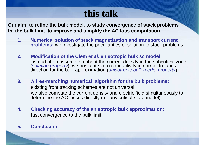# **this talk**

**Our aim: to refine the bulk model, to study convergence of stack problems to the bulk limit, to improve and simplify the AC loss computation**

- **1. Numerical solution of stack magnetization and transport current problems:** we investigate the peculiarities of solution to stack problems
- **2. Modification of the Clem et al. anisotropic bulk sc model:**  instead of an assumption about the current density in the subcritical zone (solution property), we postulate zero conductivity in normal to tapes direction for the bulk approximation (anisotropic bulk media property)
- **3. A free-marching numerical algorithm for the bulk problems:**existing front tracking schemes are not universal; we also compute the current density and electric field simultaneously to determine the AC losses directly (for any critical-state model).
- **4. Checking accuracy of the anisotropic bulk approximation:** fast convergence to the bulk limit

#### **5. Conclusion**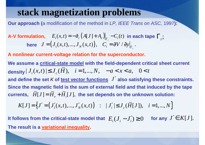# **stack magnetization problems**

**Our approach (**<sup>a</sup> modification of the method in LP, IEEE Trans on ASC, 1997**):**

#### $J = (J_1(x,t),..., J_N(x,t)), \quad C_i = \partial V / \partial y \Big|_{\Gamma_i}.$ **here**  $J = (J_1(x,t),...,J_N(x,t)),$   $C_i = \partial V / \partial y$  $(x, t) = -\partial_t (A[J] + A_e)|_{\Gamma_i} - C_i(t)$ A-V formulation,  $E_i(x,t) = -\partial_t (A[J] + A_e)|_{\Gamma_i} - C_i(t)$  in each tape  $\Gamma_i$ ;

**A nonlinear current-voltage relation for the superconductor.**

*J*′ **and define the set** K **of test vector functions also satisfying these constraints.** density  $|J_i(x,t)| \le J_c(H)$ ,  $i = 1,...,N$ ,  $-a < x < a$ ,  $0 < t$ currents,  $\; H[J] \!=\! H_{_e} \!+\! H_{_i}[J],\;$  the set depends on the unknown solution: **We assume a critical-state model with the field-dependent critical sheet current Since the magnetic field is the sum of external field and that induced by the tape** 

$$
K[J] = \left\{ J' = \left( J'_1(x,t),...,J'_N(x,t) \right) : |J'_i| \le J_c(\overline{H}[J]), \quad i = 1,...,N \right\}
$$

**It follows from the critical-state model that**  $| E_{i}( J_{i} - J_{i}') \geq 0$ **The result is a variational inequality.**  $J' \in K[J].$  for any  $J' \in K[J].$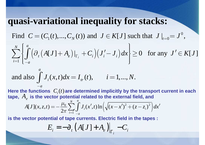## **quasi-variational inequality for stacks:**

0Find  $C = (C_1(t),..., C_N(t))$  and  $J \in K[J]$  such that  $J \big|_{t=0} = J^0$ ,  $C = (C_1(t), ..., C_N(t))$  and  $J \in K[J]$  such that  $J \big|_{t=0} = J^T$ 

Find 
$$
C = (C_1(t), ..., C_N(t))
$$
 and  $J \in K[J]$  such that  $J|_{t=0} = J^{\circ}$ ,  
\n
$$
\sum_{i=1}^{N} \left\{ \int_{-a}^{a} (\partial_t (A[J] + A_e)|_{\Gamma_i} + C_i) (J'_i - J_i) dx \right\} \ge 0 \text{ for any } J' \in K[J]
$$
\nand also  $\int_{-a}^{a} J_i(x, t) dx = I_{tr}(t)$ ,  $i = 1, ..., N$ .

and also 
$$
\int_{-a}^{a} J_i(x, t) dx = I_{tr}(t)
$$
,  $i = 1, ..., N$ .

 $\textcolor{red}{C_i(t)}$ a tape,  $\,A_e\,$  is the vector potential related to the external field, and Here the functions  $\ C_i(t)$  are determined implicitly by the transport current in each

$$
A[J](x, z, t) = -\frac{\mu_0}{2\pi} \sum_{i=1}^{N} \int_{-a}^{a} J_i(x', t) \ln \left( \sqrt{(x - x')^2 + (z - z_i)^2} \right) dx'
$$

**is the vector potential of tape currents. Electric field in the tapes :**

$$
E_i = -\partial_t \left( A[J] + A_e \right) \Big|_{\Gamma_i} - C_i
$$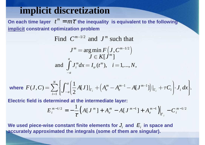# **implicit discretization**

 ${\bf O}$ n each time layer  $\,\,t^{\,m}=m\tau\,$  the inequality  $\,$  is equivalent to the following **implicit constraint optimization problem**

Find  $C^{m-1/2}$  and  $J^m$  such that

$$
J^m = \argmin_{J} F\left(J, C^{m-1/2}\right)
$$
  
and 
$$
\int_{-a}^{a} J_i^m dx = I_{tr}(t^m), \quad i = 1, ..., N,
$$

where 
$$
F(J, C) = \sum_{i=1}^{N} \left\{ \int_{-a}^{a} \left( \frac{1}{2} A[J] \big|_{\Gamma_i} + \left( A_e^m - A_e^{m-1} - A[J^{m-1}] \right) \big|_{\Gamma_i} + \tau C_i \right\} \cdot J_i \, dx \right\}.
$$

**Electric field is determined at the intermediate layer:**

$$
E_i^{m-1/2} = -\frac{1}{\tau} \Big( A [J^m] + A_e^m - A [J^{m-1}] + A_e^{m-1} \Big) \Big|_{\Gamma_i} - C_i^{m-1/2}
$$

We used piece-wise constant finite elements for  $J_i$  and  $\,E_i$  in space and **accurately approximated the integrals (some of them are singular).**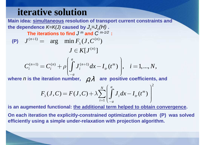# **iterative solution**

 **Main idea: simultaneous resolution of transport current constraints and**  the dependence *K=K(J)* caused by  $J_c\!\!=\!\!J_c(\!H\!)$  . The iterations to find  $J$   $^m$  and  $C$   $^{m\text{-}1/2}$  :  $(n+1)$  - arg min  $F(I C^{(n)})$  $(n)$  $\binom{n+1}{ }-C^{(n)} \perp$   $\bigcap$   $I^{(n+1)}$  $a^{n+1}$  = arg min  $F_{\lambda}(J, C^{(n)})$  $\left[ \, J^{\, (n)} \, \right]$  $(t^{m})$ ,  $i=1,...,N,$ *na* $n+1$   $\rightarrow$   $n(n)$   $\rightarrow$   $n(n+1)$   $\rightarrow$   $n(n+1)$   $\rightarrow$   $n(n+1)$ *i*  $\begin{bmatrix} i & i \\ i & j \end{bmatrix}$   $\begin{bmatrix} j & i \\ j & i \end{bmatrix}$   $\begin{bmatrix} u & u \\ v & v \end{bmatrix}$ *a* $J^{(n+1)} = \arg \min F_\lambda(J, C)$  $J \in K[J^0]$  $C_i^{(n+1)} = C_i^{(n)} + \rho \left| \int J_i^{(n+1)} dx - I_{tr}(t^m) \right|, \quad i = 1,...,N$ *ρ* $\, + \,$  $(P)$   $J^{(n+1)} =$  $\mathcal{L}^{(n)} = C_i^{(n)} + \rho \int J_i^{(n+1)}$  $=C^{(n)}+\rho\left(\int_a^a J^{(n+1)}dx-I^{(n)}\right)$  $+ \rho \left[ \int_{a} J_i^{(n+1)} dx - I_{ir}(t^m) \right], i =$  $\left(\begin{matrix} \bm{J} & \bm{i} \ -a & \bm{j} \end{matrix}\right)$  are positiv ∫where  $n$  is the iteration number,  $\;\;\rho\lambda\;\;$  are <code>positive</code> coefficients, and 21 $(J, C) = F(J, C) + \lambda \sum |J_i dx - I_{tr}(t^m)$ *Na* $\int \mathbf{r} \cdot \mathbf{r} = \int \mathbf{r} \cdot d\mathbf{m}$  $\sum_{i=1}$   $\int_{a}^{b} i^{dx}$   $\int_{a}^{b} t^{x}$  $\iota - 1$   $\iota - d$  $F_{\lambda}(J, C) = F(J, C) + \lambda \sum_{i} |J_{i} dx - I_{tr}(t^{m})$ *λ* $\lambda \sum_{i=1}^N \left( \int_{-a}^a J_i dx - I_{tr}(t^m) \right)^2$  $= F(J, C) + \lambda \sum | \int J dx - I (t^{m}) |$  $+\lambda \sum_{i=1} | \int J_i dx - I_{tr}(t^m) |$  $\bigcup_{-a}$  form helped to obtain  $\sum$ 

**is an augmented functional: the additional term helped to obtain convergence.**

**On each iteration the explicitly-constrained optimization problem (P) was solved efficiently using a simple under-relaxation with projection algorithm.**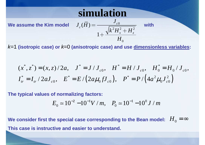# **simulation**

We assume the Kim model  $J_c(H) = \frac{v_{c0}}{\sqrt{k^2H^2+H^2}}$  with  $(H)$  =  $\frac{c}{c}(H) = \frac{c}{\sqrt{1^2 \tau}}$  $J_c(H) = \frac{1}{\sqrt{2\pi}}$ = $\sqrt{k^2H_x^2}$  +

k=1 **(isotropic case) or** k=<sup>0</sup> **(anisotropic case) and use dimensionless variables:**

1

0

*H*

 $k^2H_x^2 + H$ 

*J*

 $+$   $-$ 

*<sup>x</sup> z*

$$
(x^*, z^*) = (x, z)/2a
$$
,  $J^* = J/J_{c0}$ ,  $H^* = H/J_{c0}$ ,  $H_0^* = H_0/J_{c0}$ ,  
 $I_{tr}^* = I_{tr}/2aJ_{c0}$ ,  $E^* = E/(2a\mu_0fJ_{c0})$ ,  $P^* = P/(4a^2\mu_0J_{c0}^2)$ 

**The typical values of normalizing factors:** 

$$
E_0 \simeq 10^{-2} - 10^{-1} V / m, \quad P_0 \simeq 10^{-1} - 10^0 J / m
$$

We consider first the special case corresponding to the Bean model:  $\ H_{0}$  = ∞ **This case is instructive and easier to understand.**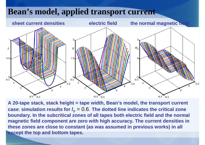# **Bean's model, applied transport current**



**A 20-tape stack, stack height = tape width, Bean's model, the transport current** $\boldsymbol{\mathsf{case}}$ ; simulation results for  $I_{tr}$  =  $0.6$ . The dotted line indicates the critical zone **boundary. In the subcritical zones of all tapes both electric field and the normalmagnetic field component are zero with high accuracy. The current densities inthese zones are close to constant (as was assumed in previous works) in all except the top and bottom tapes.**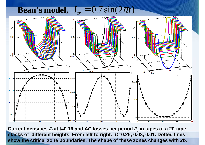# **Bean's model,**  $I_{tr} = 0.7 \sin(2 \pi t)$



**Current densities Ji at t=0.16 and AC losses per period P<sup>i</sup> in tapes of a 20-tape stacks of different heights. From left to right: D=0.25, 0.03, 0.01. Dotted linesshow the critical zone boundaries. The shape of these zones changes with 2b.**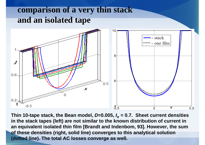# **comparison of a very thin stack and an isolated tape**



**Thin 10-tape stack, the Bean model, D=0.005, Itr = 0.7. Sheet current densities in the stack tapes (left) are not similar to the known distribution of current in an equivalent isolated thin film [Brandt and Indenbom, 93]. However, the sum of these densities (right, solid line) converges to this analytical solution (dotted line). The total AC losses converge as well.**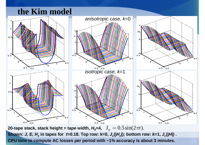### **the Kim model**



**20-tape stack, stack height = tape width,**  $H_0$ **=4,**  $I_{tr} = 0.5 \sin(2\pi t)$ . Shown: *J, E, H<sub>z</sub>* in tapes for *t*=0.18. Top row: *k*=0,  $J_c(|H_z|)$ ; bottom row: *k*=1,  $J_c(|H|)$  . **CPU time to compute AC losses per period with ~1% accuracy is about 3 minutes.**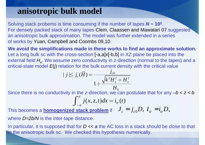### **anisotropic bulk model**

Solving stack probems is time consuming if the number of tapes **N ~ 102** For densely packed stack of many tapes Clem, Claassen and Mawatari 07 suggested .an anisotropic bulk approximation. The model was further extended in a series of works by Yuan, Campbell and Coombs 09,10.

**We avoid the simplifications made in these works to find an approximate solution.**Let a long bulk sc with the cross-section [-a,a]x[-b,b] in XZ plane be placed into theexternal field  $H_{\mathrm{e}}$ . We assume zero conductivity in z-direction (normal to the tapes) and a critical-state model  $E\!$  relation for the bulk current density with the critical value

$$
|j| \le j_c(\bar{H}) = \frac{j_{c0}}{1 + \frac{\sqrt{k^2 H_x^2 + H_z^2}}{H_0}}
$$

Since there is no conductivity in the z-direction, we can postulate that for any  $-b < z < b$ *a*

$$
\int_{-a}^{a} j(x, z, t) dx = i_{tr}(t)
$$

This becomes a **homogenized stack problem** if  $J_c = j_{c0}D, I_{tr} = i_{tr}D,$ 

where  $D\!\!=\!\!2b\!/\!N$  is the inter-tape distance.

In particular, it is supposed that for  $D \ll a$  the AC loss in a stack should be close to that in the anisotropic bulk sc. We checked this hypothesis numerically.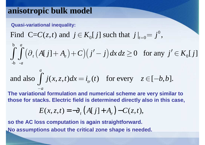### **anisotropic bulk model**

**Quasi-variational inequality:**

Find 
$$
C=C(z,t)
$$
 and  $j \in K_0[j]$  such that  $j|_{t=0} = j^0$ ,

Find C=C(z,t) and 
$$
j \in K_0[j]
$$
 such that  $j|_{t=0} = j^{\circ}$ ,  
\n
$$
\int_{-b}^{b} \int_{-a}^{a} (\partial_t (A[j]+A_e)+C)(j'-j) dx dz \ge 0 \text{ for any } j' \in K_0[j]
$$
\nand also 
$$
\int_{-a}^{a} j(x, z, t) dx = i_{tr}(t) \text{ for every } z \in [-b, b].
$$

and also 
$$
\int_{-a}^{a} j(x, z, t) dx = i_{tr}(t)
$$
 for every  $z \in [-b, b]$ .

**The variational formulation and numerical scheme are very similar to those for stacks. Electric field is determined directly also in this case,**

$$
E(x, z, t) = -\partial_t \left( A[j] + A_e \right) - C(z, t),
$$

**so the AC loss computation is again straightforward.No assumptions about the critical zone shape is needed.**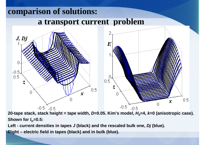

**20-tape stack, stack height = tape width, D=0.05. Kim's model, H0=4, k=0 (anisotropic case). Shown forItr=0.5:** 

**Left - current densities in tapes J (black) and the rescaled bulk one, Dj (blue).**

**Right – electric field in tapes (black) and in bulk (blue).**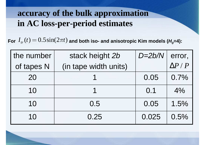# **accuracy of the bulk approximation in AC loss-per-period estimates**

For  $I_{tr}(t)$   $=$   $0.5\sin(2\pi t)$  and both iso- and anisotropic Kim models (*H<sub>0</sub>*=4):

| the number | stack height 2b       | $D=2b/N$ | error,           |
|------------|-----------------------|----------|------------------|
| of tapes N | (in tape width units) |          | $\Delta P$ / $P$ |
| 20         |                       | 0.05     | $0.7\%$          |
| 10         |                       | 0.1      | $4\%$            |
| 10         | 0.5                   | 0.05     | 1.5%             |
| 10         | 0.25                  | 0.025    | 0.5%             |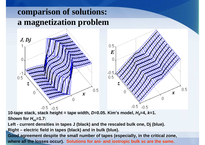# **comparison of solutions:a magnetization problem**

![](_page_16_Figure_1.jpeg)

**10-tape stack, stack height = tape width, D=0.05. Kim's model, H0=4, k=1.Shown forHez=1.7:** 

**Left - current densities in tapes J (black) and the rescaled bulk one, Dj (blue).**

**Right – electric field in tapes (black) and in bulk (blue).** 

**Good agreement despite the small number of tapes (especially, in the critical zone, where all the losses occur). Solutions for ani- and isotropic bulk sc are the same.**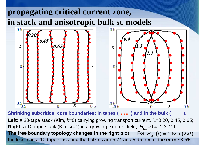# **propagating critical current zone, in stack and anisotropic bulk sc models**

![](_page_17_Figure_1.jpeg)

**Shrinking subcritical core boundaries: in tapes ( …Shrinking subcritical core boundaries: in tapes ( ւ ւ ւ ) and in the bulk ( —— ).**<br>Left: a 20-tape stack (Kim, *k*=0) carrying growing transport current, *I<sub>tr</sub>=*0.20, 0.45, 0.65; **Right:** a 10-tape stack (Kim, *k*=1) in a growing external field,  $\ H_{e,z}$ =0.4, 1.3, 2.1 **The free boundary topology changes in the right plot**. For  $H_{e,z}(t) = 2.5\sin(2\pi t)$ the losses in a 10-tape stack and the bulk sc are 5.74 and 5.95, resp., the error  $\sim$ 3.5%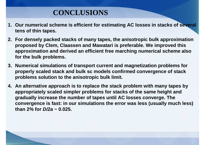### **CONCLUSIONS**

- **1. Our numerical scheme is efficient for estimating AC losses in stacks of several tens of thin tapes.**
- **2. For densely packed stacks of many tapes, the anisotropic bulk approximation proposed by Clem, Claassen and Mawatari is preferable. We improved this approximation and derived an efficient free marching numerical scheme also for the bulk problems.**
- **3. Numerical simulations of transport current and magnetization problems for properly scaled stack and bulk sc models confirmed convergence of stack problems solution to the anisotropic bulk limit.**
- **4. An alternative approach is to replace the stack problem with many tapes by appropriately scaled simpler problems for stacks of the same height and gradually increase the number of tapes until AC losses converge. The convergence is fast: in our simulations the error was less (usually much less) than 2% for D/2a ~ 0.025.**